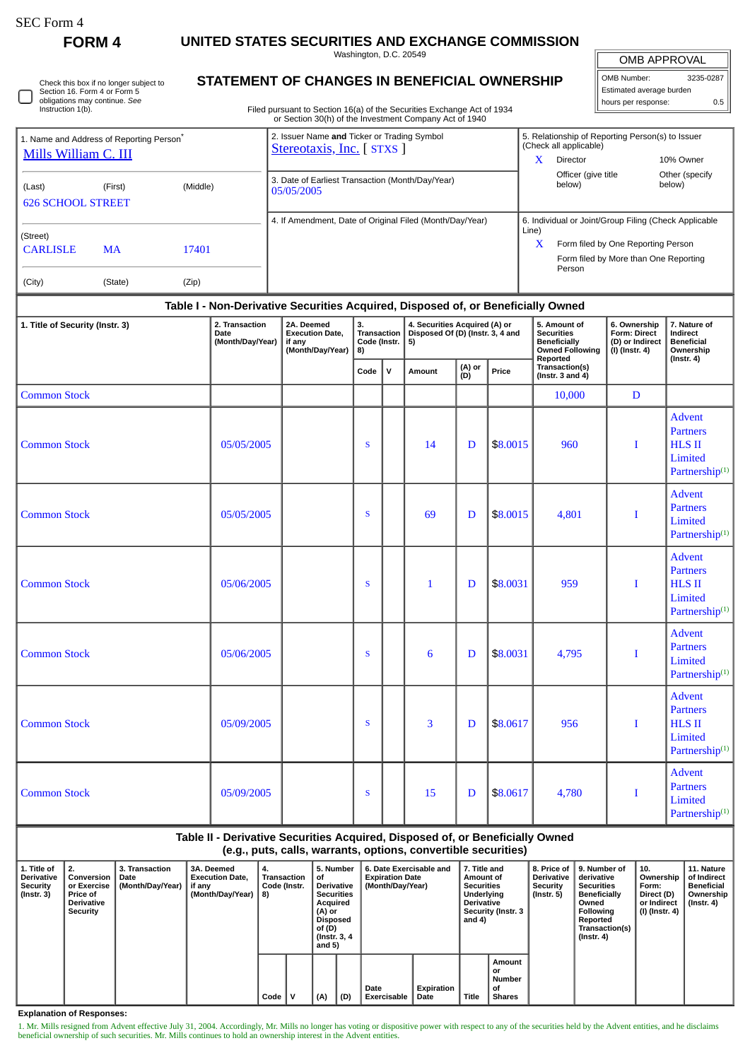| SEC Form 4 |  |
|------------|--|
|------------|--|

 $\Box$ 

**FORM 4 UNITED STATES SECURITIES AND EXCHANGE COMMISSION**

Washington, D.C. 20549

| Check this box if no longer subject to |
|----------------------------------------|
| Section 16. Form 4 or Form 5           |
| obligations may continue. See          |
| Instruction 1(b).                      |

## **STATEMENT OF CHANGES IN BENEFICIAL OWNERSHIP**

Filed pursuant to Section 16(a) of the Securities Exchange Act of 1934 or Section 30(h) of the Investment Company Act of 1940

| OMB APPROVAL             |           |  |  |  |  |  |  |  |
|--------------------------|-----------|--|--|--|--|--|--|--|
| OMB Number:              | 3235-0287 |  |  |  |  |  |  |  |
| Estimated average burden |           |  |  |  |  |  |  |  |
| hours per response:      | ሰ 5       |  |  |  |  |  |  |  |

| 1. Name and Address of Reporting Person <sup>®</sup><br>Mills William C. III    | 2. Issuer Name and Ticker or Trading Symbol<br>Stereotaxis, Inc. [ STXS ] | 5. Relationship of Reporting Person(s) to Issuer<br>(Check all applicable)<br>X<br>Director<br>10% Owner                                                     |
|---------------------------------------------------------------------------------|---------------------------------------------------------------------------|--------------------------------------------------------------------------------------------------------------------------------------------------------------|
| (Middle)<br>(Last)<br>(First)<br><b>626 SCHOOL STREET</b>                       | 3. Date of Earliest Transaction (Month/Day/Year)<br>05/05/2005            | Officer (give title<br>Other (specify<br>below)<br>below)                                                                                                    |
| (Street)<br><b>CARLISLE</b><br>17401<br><b>MA</b><br>(Zip)<br>(City)<br>(State) | 4. If Amendment, Date of Original Filed (Month/Day/Year)                  | 6. Individual or Joint/Group Filing (Check Applicable<br>Line)<br>X<br>Form filed by One Reporting Person<br>Form filed by More than One Reporting<br>Person |

| 1. Title of Security (Instr. 3) | 2. Transaction<br>Date<br>(Month/Day/Year) | 2A. Deemed<br><b>Execution Date,</b><br>if any<br>(Month/Day/Year) | 3.<br>Transaction<br>Code (Instr.<br>5)<br>8) |              | 4. Securities Acquired (A) or<br>Disposed Of (D) (Instr. 3, 4 and |                        |          | 5. Amount of<br><b>Securities</b><br><b>Beneficially</b><br><b>Owned Following</b> | 6. Ownership<br>Form: Direct<br>(D) or Indirect<br>$(I)$ (Instr. 4) | 7. Nature of<br><b>Indirect</b><br><b>Beneficial</b><br>Ownership                          |  |
|---------------------------------|--------------------------------------------|--------------------------------------------------------------------|-----------------------------------------------|--------------|-------------------------------------------------------------------|------------------------|----------|------------------------------------------------------------------------------------|---------------------------------------------------------------------|--------------------------------------------------------------------------------------------|--|
|                                 |                                            |                                                                    | Code                                          | $\mathsf{v}$ | Amount                                                            | (A) or<br>(D)<br>Price |          | Reported<br>Transaction(s)<br>(Instr. $3$ and $4$ )                                |                                                                     | $($ Instr. 4 $)$                                                                           |  |
| <b>Common Stock</b>             |                                            |                                                                    |                                               |              |                                                                   |                        |          | 10,000                                                                             | D                                                                   |                                                                                            |  |
| <b>Common Stock</b>             | 05/05/2005                                 |                                                                    | <sub>S</sub>                                  |              | 14                                                                | D                      | \$8,0015 | 960                                                                                | $\mathbf{I}$                                                        | <b>Advent</b><br><b>Partners</b><br><b>HLS II</b><br>Limited<br>Partnership <sup>(1)</sup> |  |
| <b>Common Stock</b>             | 05/05/2005                                 |                                                                    | S                                             |              | 69                                                                | D                      | \$8.0015 | 4,801                                                                              | Ι                                                                   | <b>Advent</b><br><b>Partners</b><br>Limited<br>Partnership <sup>(1)</sup>                  |  |
| <b>Common Stock</b>             | 05/06/2005                                 |                                                                    | S                                             |              | $\mathbf{1}$                                                      | D                      | \$8,0031 | 959                                                                                | I                                                                   | <b>Advent</b><br><b>Partners</b><br><b>HLS II</b><br>Limited<br>Partnership <sup>(1)</sup> |  |
| <b>Common Stock</b>             | 05/06/2005                                 |                                                                    | S                                             |              | 6                                                                 | D                      | \$8.0031 | 4,795                                                                              | Ι                                                                   | <b>Advent</b><br><b>Partners</b><br>Limited<br>Partnership <sup>(1)</sup>                  |  |
| <b>Common Stock</b>             | 05/09/2005                                 |                                                                    | <sub>S</sub>                                  |              | 3                                                                 | D                      | \$8.0617 | 956                                                                                | I                                                                   | <b>Advent</b><br><b>Partners</b><br><b>HLS II</b><br>Limited<br>Partnership <sup>(1)</sup> |  |
| <b>Common Stock</b>             | 05/09/2005                                 |                                                                    | S                                             |              | 15                                                                | D                      | \$8.0617 | 4,780                                                                              | I                                                                   | <b>Advent</b><br><b>Partners</b><br>Limited<br>Partnership <sup>(1)</sup>                  |  |

## **Table II - Derivative Securities Acquired, Disposed of, or Beneficially Owned**

**(e.g., puts, calls, warrants, options, convertible securities)**

| 1. Title of<br><b>Derivative</b><br>Security<br>(Instr. 3) | $^{\circ}$ 2.<br>Conversion<br>or Exercise<br><b>Price of</b><br><b>Derivative</b><br><b>Security</b> | 3. Transaction<br>Date<br>(Month/Day/Year) | <b>3A. Deemed</b><br><b>Execution Date.</b><br>if any<br>(Month/Day/Year) | 4.<br><b>Transaction</b><br>Code (Instr.<br>  8) |  | 5. Number<br>∣of<br><b>Derivative</b><br><b>Securities</b><br>Acquired<br>(A) or<br><b>Disposed</b><br>of (D)<br>(Instr. 3, 4)<br>and $5)$ |     | 6. Date Exercisable and<br><b>Expiration Date</b><br>(Month/Dav/Year) |                                  | 7. Title and<br>Amount of<br><b>Securities</b><br>Underlying<br><b>Derivative</b><br>Security (Instr. 3<br>and 4) |                                                      | <b>Derivative</b><br>Security<br>(Instr. 5) | 8. Price of 19. Number of<br>derivative<br><b>Securities</b><br><b>Beneficially</b><br>Owned<br>Following<br>Reported<br>Transaction(s)<br>$($ Instr. 4 $)$ | 10.<br>Ownership<br>Form:<br>Direct (D)<br>or Indirect<br>(I) (Instr. 4) | 11. Nature<br>of Indirect<br><b>Beneficial</b><br>Ownership<br>(Instr. 4) |
|------------------------------------------------------------|-------------------------------------------------------------------------------------------------------|--------------------------------------------|---------------------------------------------------------------------------|--------------------------------------------------|--|--------------------------------------------------------------------------------------------------------------------------------------------|-----|-----------------------------------------------------------------------|----------------------------------|-------------------------------------------------------------------------------------------------------------------|------------------------------------------------------|---------------------------------------------|-------------------------------------------------------------------------------------------------------------------------------------------------------------|--------------------------------------------------------------------------|---------------------------------------------------------------------------|
|                                                            |                                                                                                       |                                            |                                                                           | $Code \vert$                                     |  | (A)                                                                                                                                        | (D) | Date<br>Exercisable                                                   | <b>Expiration</b><br><b>Date</b> | Title                                                                                                             | Amount<br>or<br><b>Number</b><br>οf<br><b>Shares</b> |                                             |                                                                                                                                                             |                                                                          |                                                                           |

**Explanation of Responses:**

1. Mr. Mills resigned from Advent effective July 31, 2004. Accordingly, Mr. Mills no longer has voting or dispositive power with respect to any of the securities held by the Advent entities, and he disclaims<br>beneficial own